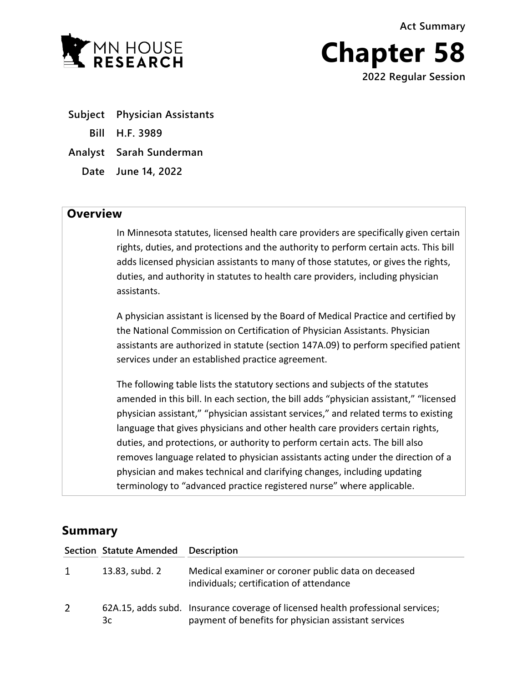**Act Summary**



**Chapter 58 2022 Regular Session**

**Subject Physician Assistants Bill H.F. 3989 Analyst Sarah Sunderman Date June 14, 2022**

## **Overview**

In Minnesota statutes, licensed health care providers are specifically given certain rights, duties, and protections and the authority to perform certain acts. This bill adds licensed physician assistants to many of those statutes, or gives the rights, duties, and authority in statutes to health care providers, including physician assistants.

A physician assistant is licensed by the Board of Medical Practice and certified by the National Commission on Certification of Physician Assistants. Physician assistants are authorized in statute (section 147A.09) to perform specified patient services under an established practice agreement.

The following table lists the statutory sections and subjects of the statutes amended in this bill. In each section, the bill adds "physician assistant," "licensed physician assistant," "physician assistant services," and related terms to existing language that gives physicians and other health care providers certain rights, duties, and protections, or authority to perform certain acts. The bill also removes language related to physician assistants acting under the direction of a physician and makes technical and clarifying changes, including updating terminology to "advanced practice registered nurse" where applicable.

## **Summary**

|                | Section Statute Amended Description |                                                                                                                                         |
|----------------|-------------------------------------|-----------------------------------------------------------------------------------------------------------------------------------------|
| $\mathbf{1}$   | 13.83, subd. 2                      | Medical examiner or coroner public data on deceased<br>individuals; certification of attendance                                         |
| $\overline{2}$ | 3c                                  | 62A.15, adds subd. Insurance coverage of licensed health professional services;<br>payment of benefits for physician assistant services |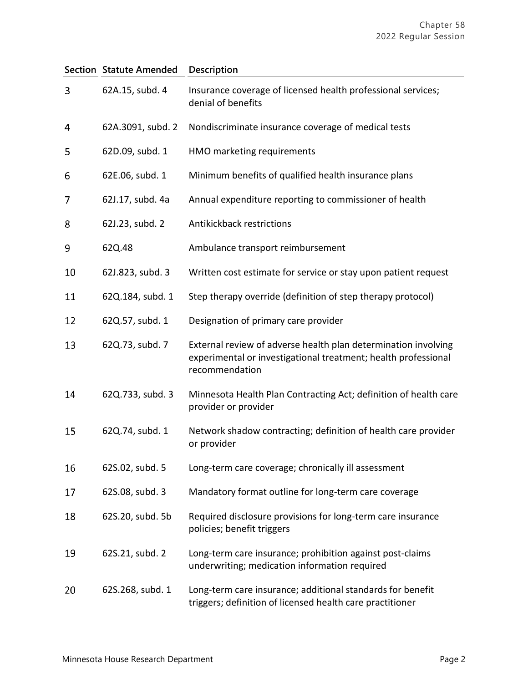|    | <b>Section Statute Amended</b> | Description                                                                                                                                        |
|----|--------------------------------|----------------------------------------------------------------------------------------------------------------------------------------------------|
| 3  | 62A.15, subd. 4                | Insurance coverage of licensed health professional services;<br>denial of benefits                                                                 |
| 4  | 62A.3091, subd. 2              | Nondiscriminate insurance coverage of medical tests                                                                                                |
| 5  | 62D.09, subd. 1                | HMO marketing requirements                                                                                                                         |
| 6  | 62E.06, subd. 1                | Minimum benefits of qualified health insurance plans                                                                                               |
| 7  | 62J.17, subd. 4a               | Annual expenditure reporting to commissioner of health                                                                                             |
| 8  | 62J.23, subd. 2                | Antikickback restrictions                                                                                                                          |
| 9  | 62Q.48                         | Ambulance transport reimbursement                                                                                                                  |
| 10 | 62J.823, subd. 3               | Written cost estimate for service or stay upon patient request                                                                                     |
| 11 | 62Q.184, subd. 1               | Step therapy override (definition of step therapy protocol)                                                                                        |
| 12 | 62Q.57, subd. 1                | Designation of primary care provider                                                                                                               |
| 13 | 62Q.73, subd. 7                | External review of adverse health plan determination involving<br>experimental or investigational treatment; health professional<br>recommendation |
| 14 | 62Q.733, subd. 3               | Minnesota Health Plan Contracting Act; definition of health care<br>provider or provider                                                           |
| 15 | 62Q.74, subd. 1                | Network shadow contracting; definition of health care provider<br>or provider                                                                      |
| 16 | 62S.02, subd. 5                | Long-term care coverage; chronically ill assessment                                                                                                |
| 17 | 62S.08, subd. 3                | Mandatory format outline for long-term care coverage                                                                                               |
| 18 | 62S.20, subd. 5b               | Required disclosure provisions for long-term care insurance<br>policies; benefit triggers                                                          |
| 19 | 62S.21, subd. 2                | Long-term care insurance; prohibition against post-claims<br>underwriting; medication information required                                         |
| 20 | 62S.268, subd. 1               | Long-term care insurance; additional standards for benefit<br>triggers; definition of licensed health care practitioner                            |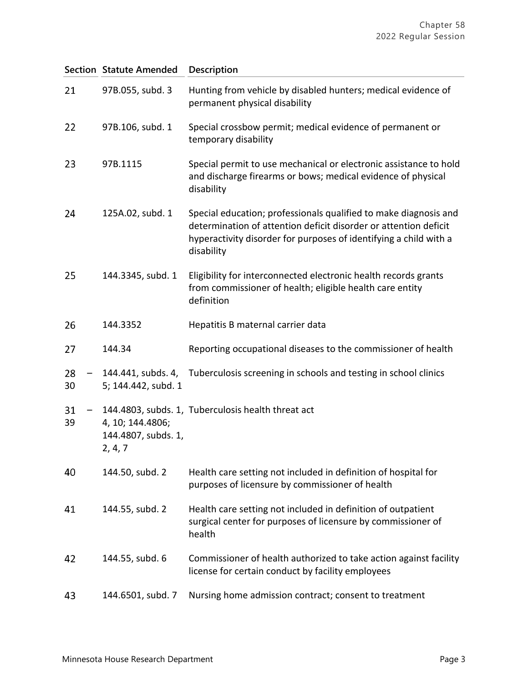|          | <b>Section Statute Amended</b>                     | <b>Description</b>                                                                                                                                                                                                      |
|----------|----------------------------------------------------|-------------------------------------------------------------------------------------------------------------------------------------------------------------------------------------------------------------------------|
| 21       | 97B.055, subd. 3                                   | Hunting from vehicle by disabled hunters; medical evidence of<br>permanent physical disability                                                                                                                          |
| 22       | 97B.106, subd. 1                                   | Special crossbow permit; medical evidence of permanent or<br>temporary disability                                                                                                                                       |
| 23       | 97B.1115                                           | Special permit to use mechanical or electronic assistance to hold<br>and discharge firearms or bows; medical evidence of physical<br>disability                                                                         |
| 24       | 125A.02, subd. 1                                   | Special education; professionals qualified to make diagnosis and<br>determination of attention deficit disorder or attention deficit<br>hyperactivity disorder for purposes of identifying a child with a<br>disability |
| 25       | 144.3345, subd. 1                                  | Eligibility for interconnected electronic health records grants<br>from commissioner of health; eligible health care entity<br>definition                                                                               |
| 26       | 144.3352                                           | Hepatitis B maternal carrier data                                                                                                                                                                                       |
| 27       | 144.34                                             | Reporting occupational diseases to the commissioner of health                                                                                                                                                           |
| 28<br>30 | 144.441, subds. 4,<br>5; 144.442, subd. 1          | Tuberculosis screening in schools and testing in school clinics                                                                                                                                                         |
| 31<br>39 | 4, 10; 144.4806;<br>144.4807, subds. 1,<br>2, 4, 7 | 144.4803, subds. 1, Tuberculosis health threat act                                                                                                                                                                      |
| 40       | 144.50, subd. 2                                    | Health care setting not included in definition of hospital for<br>purposes of licensure by commissioner of health                                                                                                       |
| 41       | 144.55, subd. 2                                    | Health care setting not included in definition of outpatient<br>surgical center for purposes of licensure by commissioner of<br>health                                                                                  |
| 42       | 144.55, subd. 6                                    | Commissioner of health authorized to take action against facility<br>license for certain conduct by facility employees                                                                                                  |
| 43       | 144.6501, subd. 7                                  | Nursing home admission contract; consent to treatment                                                                                                                                                                   |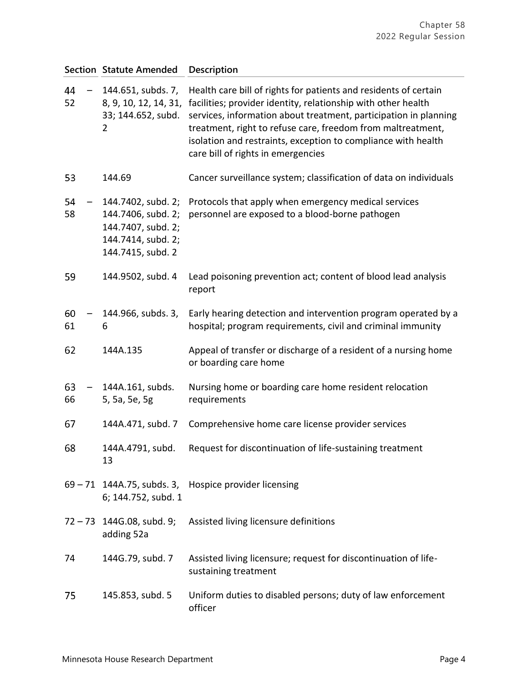|          | <b>Section Statute Amended</b>                                                                            | Description                                                                                                                                                                                                                                                                                                                                                                 |
|----------|-----------------------------------------------------------------------------------------------------------|-----------------------------------------------------------------------------------------------------------------------------------------------------------------------------------------------------------------------------------------------------------------------------------------------------------------------------------------------------------------------------|
| 44<br>52 | 144.651, subds. 7,<br>8, 9, 10, 12, 14, 31,<br>33; 144.652, subd.<br>2                                    | Health care bill of rights for patients and residents of certain<br>facilities; provider identity, relationship with other health<br>services, information about treatment, participation in planning<br>treatment, right to refuse care, freedom from maltreatment,<br>isolation and restraints, exception to compliance with health<br>care bill of rights in emergencies |
| 53       | 144.69                                                                                                    | Cancer surveillance system; classification of data on individuals                                                                                                                                                                                                                                                                                                           |
| 54<br>58 | 144.7402, subd. 2;<br>144.7406, subd. 2;<br>144.7407, subd. 2;<br>144.7414, subd. 2;<br>144.7415, subd. 2 | Protocols that apply when emergency medical services<br>personnel are exposed to a blood-borne pathogen                                                                                                                                                                                                                                                                     |
| 59       | 144.9502, subd. 4                                                                                         | Lead poisoning prevention act; content of blood lead analysis<br>report                                                                                                                                                                                                                                                                                                     |
| 60<br>61 | 144.966, subds. 3,<br>6                                                                                   | Early hearing detection and intervention program operated by a<br>hospital; program requirements, civil and criminal immunity                                                                                                                                                                                                                                               |
| 62       | 144A.135                                                                                                  | Appeal of transfer or discharge of a resident of a nursing home<br>or boarding care home                                                                                                                                                                                                                                                                                    |
| 63<br>66 | 144A.161, subds.<br>5, 5a, 5e, 5g                                                                         | Nursing home or boarding care home resident relocation<br>requirements                                                                                                                                                                                                                                                                                                      |
| 67       | 144A.471, subd. 7                                                                                         | Comprehensive home care license provider services                                                                                                                                                                                                                                                                                                                           |
| 68       | 144A.4791, subd.<br>13                                                                                    | Request for discontinuation of life-sustaining treatment                                                                                                                                                                                                                                                                                                                    |
|          | 6; 144.752, subd. 1                                                                                       | 69 - 71 144A.75, subds. 3, Hospice provider licensing                                                                                                                                                                                                                                                                                                                       |
|          | $72 - 73$ 144G.08, subd. 9;<br>adding 52a                                                                 | Assisted living licensure definitions                                                                                                                                                                                                                                                                                                                                       |
| 74       | 144G.79, subd. 7                                                                                          | Assisted living licensure; request for discontinuation of life-<br>sustaining treatment                                                                                                                                                                                                                                                                                     |
| 75       | 145.853, subd. 5                                                                                          | Uniform duties to disabled persons; duty of law enforcement<br>officer                                                                                                                                                                                                                                                                                                      |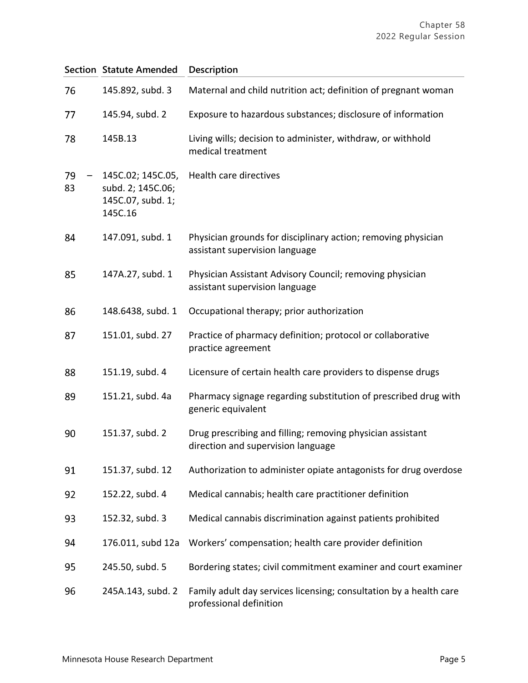|          | <b>Section Statute Amended</b>                                         | Description                                                                                      |
|----------|------------------------------------------------------------------------|--------------------------------------------------------------------------------------------------|
| 76       | 145.892, subd. 3                                                       | Maternal and child nutrition act; definition of pregnant woman                                   |
| 77       | 145.94, subd. 2                                                        | Exposure to hazardous substances; disclosure of information                                      |
| 78       | 145B.13                                                                | Living wills; decision to administer, withdraw, or withhold<br>medical treatment                 |
| 79<br>83 | 145C.02; 145C.05,<br>subd. 2; 145C.06;<br>145C.07, subd. 1;<br>145C.16 | Health care directives                                                                           |
| 84       | 147.091, subd. 1                                                       | Physician grounds for disciplinary action; removing physician<br>assistant supervision language  |
| 85       | 147A.27, subd. 1                                                       | Physician Assistant Advisory Council; removing physician<br>assistant supervision language       |
| 86       | 148.6438, subd. 1                                                      | Occupational therapy; prior authorization                                                        |
| 87       | 151.01, subd. 27                                                       | Practice of pharmacy definition; protocol or collaborative<br>practice agreement                 |
| 88       | 151.19, subd. 4                                                        | Licensure of certain health care providers to dispense drugs                                     |
| 89       | 151.21, subd. 4a                                                       | Pharmacy signage regarding substitution of prescribed drug with<br>generic equivalent            |
| 90       | 151.37, subd. 2                                                        | Drug prescribing and filling; removing physician assistant<br>direction and supervision language |
| 91       | 151.37, subd. 12                                                       | Authorization to administer opiate antagonists for drug overdose                                 |
| 92       | 152.22, subd. 4                                                        | Medical cannabis; health care practitioner definition                                            |
| 93       | 152.32, subd. 3                                                        | Medical cannabis discrimination against patients prohibited                                      |
| 94       | 176.011, subd 12a                                                      | Workers' compensation; health care provider definition                                           |
| 95       | 245.50, subd. 5                                                        | Bordering states; civil commitment examiner and court examiner                                   |
| 96       | 245A.143, subd. 2                                                      | Family adult day services licensing; consultation by a health care<br>professional definition    |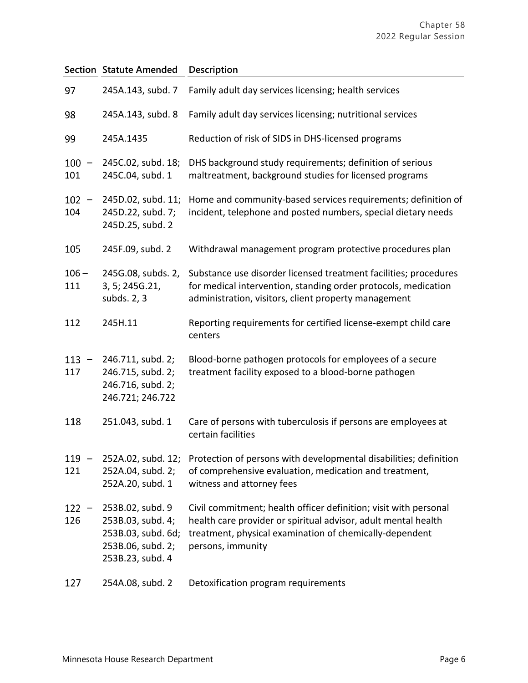|                | <b>Section Statute Amended</b>                                                                       | Description                                                                                                                                                                                                        |
|----------------|------------------------------------------------------------------------------------------------------|--------------------------------------------------------------------------------------------------------------------------------------------------------------------------------------------------------------------|
| 97             | 245A.143, subd. 7                                                                                    | Family adult day services licensing; health services                                                                                                                                                               |
| 98             | 245A.143, subd. 8                                                                                    | Family adult day services licensing; nutritional services                                                                                                                                                          |
| 99             | 245A.1435                                                                                            | Reduction of risk of SIDS in DHS-licensed programs                                                                                                                                                                 |
| 100<br>101     | 245C.02, subd. 18;<br>245C.04, subd. 1                                                               | DHS background study requirements; definition of serious<br>maltreatment, background studies for licensed programs                                                                                                 |
| $102 -$<br>104 | 245D.02, subd. 11;<br>245D.22, subd. 7;<br>245D.25, subd. 2                                          | Home and community-based services requirements; definition of<br>incident, telephone and posted numbers, special dietary needs                                                                                     |
| 105            | 245F.09, subd. 2                                                                                     | Withdrawal management program protective procedures plan                                                                                                                                                           |
| $106 -$<br>111 | 245G.08, subds. 2,<br>3, 5; 245G.21,<br>subds. 2, 3                                                  | Substance use disorder licensed treatment facilities; procedures<br>for medical intervention, standing order protocols, medication<br>administration, visitors, client property management                         |
| 112            | 245H.11                                                                                              | Reporting requirements for certified license-exempt child care<br>centers                                                                                                                                          |
| $113 -$<br>117 | 246.711, subd. 2;<br>246.715, subd. 2;<br>246.716, subd. 2;<br>246.721; 246.722                      | Blood-borne pathogen protocols for employees of a secure<br>treatment facility exposed to a blood-borne pathogen                                                                                                   |
| 118            | 251.043, subd. 1                                                                                     | Care of persons with tuberculosis if persons are employees at<br>certain facilities                                                                                                                                |
| $119 -$<br>121 | 252A.02, subd. 12;<br>252A.04, subd. 2;<br>252A.20, subd. 1                                          | Protection of persons with developmental disabilities; definition<br>of comprehensive evaluation, medication and treatment,<br>witness and attorney fees                                                           |
| $122 -$<br>126 | 253B.02, subd. 9<br>253B.03, subd. 4;<br>253B.03, subd. 6d;<br>253B.06, subd. 2;<br>253B.23, subd. 4 | Civil commitment; health officer definition; visit with personal<br>health care provider or spiritual advisor, adult mental health<br>treatment, physical examination of chemically-dependent<br>persons, immunity |
| 127            | 254A.08, subd. 2                                                                                     | Detoxification program requirements                                                                                                                                                                                |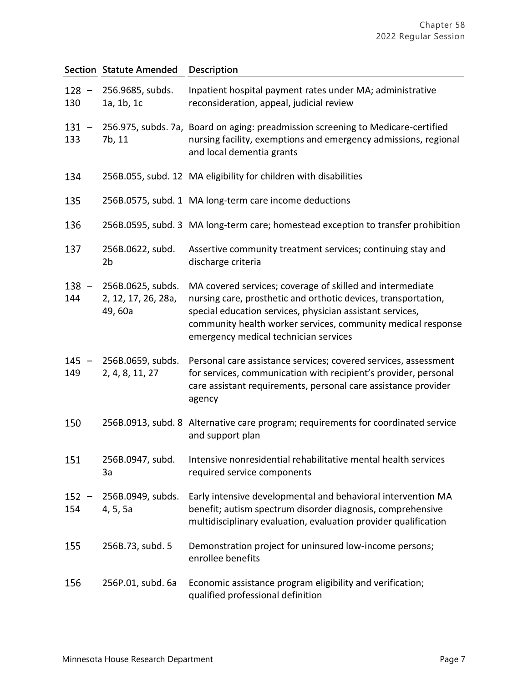|                | <b>Section Statute Amended</b>                      | <b>Description</b>                                                                                                                                                                                                                                                                                |
|----------------|-----------------------------------------------------|---------------------------------------------------------------------------------------------------------------------------------------------------------------------------------------------------------------------------------------------------------------------------------------------------|
| $128 -$<br>130 | 256.9685, subds.<br>1a, 1b, 1c                      | Inpatient hospital payment rates under MA; administrative<br>reconsideration, appeal, judicial review                                                                                                                                                                                             |
| $131 -$<br>133 | 7b, 11                                              | 256.975, subds. 7a, Board on aging: preadmission screening to Medicare-certified<br>nursing facility, exemptions and emergency admissions, regional<br>and local dementia grants                                                                                                                  |
| 134            |                                                     | 256B.055, subd. 12 MA eligibility for children with disabilities                                                                                                                                                                                                                                  |
| 135            |                                                     | 256B.0575, subd. 1 MA long-term care income deductions                                                                                                                                                                                                                                            |
| 136            |                                                     | 256B.0595, subd. 3 MA long-term care; homestead exception to transfer prohibition                                                                                                                                                                                                                 |
| 137            | 256B.0622, subd.<br>2b                              | Assertive community treatment services; continuing stay and<br>discharge criteria                                                                                                                                                                                                                 |
| $138 -$<br>144 | 256B.0625, subds.<br>2, 12, 17, 26, 28a,<br>49, 60a | MA covered services; coverage of skilled and intermediate<br>nursing care, prosthetic and orthotic devices, transportation,<br>special education services, physician assistant services,<br>community health worker services, community medical response<br>emergency medical technician services |
| 145<br>149     | 256B.0659, subds.<br>2, 4, 8, 11, 27                | Personal care assistance services; covered services, assessment<br>for services, communication with recipient's provider, personal<br>care assistant requirements, personal care assistance provider<br>agency                                                                                    |
| 150            |                                                     | 256B.0913, subd. 8 Alternative care program; requirements for coordinated service<br>and support plan                                                                                                                                                                                             |
| 151            | 256B.0947, subd.<br>3a                              | Intensive nonresidential rehabilitative mental health services<br>required service components                                                                                                                                                                                                     |
| $152 -$<br>154 | 256B.0949, subds.<br>4, 5, 5a                       | Early intensive developmental and behavioral intervention MA<br>benefit; autism spectrum disorder diagnosis, comprehensive<br>multidisciplinary evaluation, evaluation provider qualification                                                                                                     |
| 155            | 256B.73, subd. 5                                    | Demonstration project for uninsured low-income persons;<br>enrollee benefits                                                                                                                                                                                                                      |
| 156            | 256P.01, subd. 6a                                   | Economic assistance program eligibility and verification;<br>qualified professional definition                                                                                                                                                                                                    |